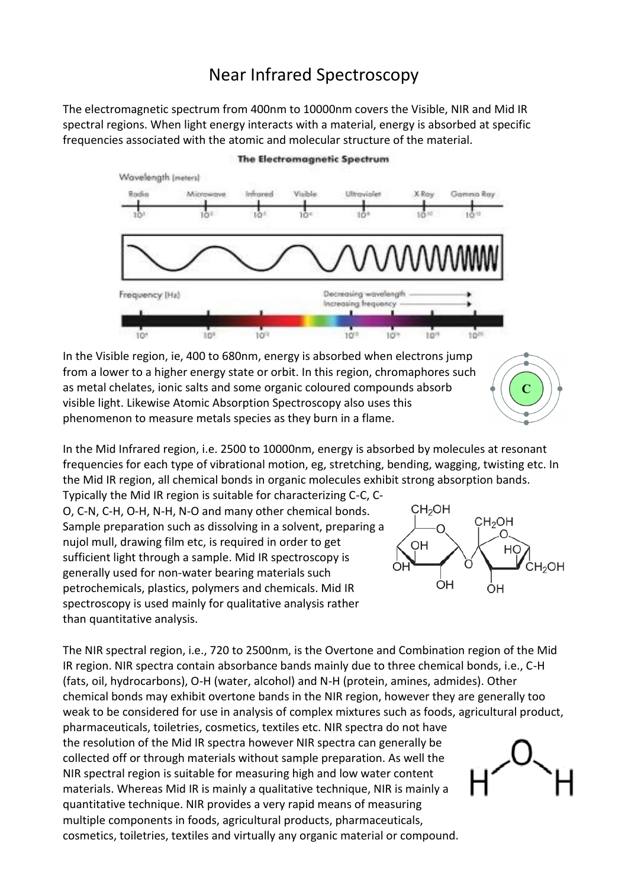# Near Infrared Spectroscopy

The electromagnetic spectrum from 400nm to 10000nm covers the Visible, NIR and Mid IR spectral regions. When light energy interacts with a material, energy is absorbed at specific frequencies associated with the atomic and molecular structure of the material.



#### The Electromagnetic Spectrum

In the Visible region, ie, 400 to 680nm, energy is absorbed when electrons jump from a lower to a higher energy state or orbit. In this region, chromaphores such as metal chelates, ionic salts and some organic coloured compounds absorb visible light. Likewise Atomic Absorption Spectroscopy also uses this phenomenon to measure metals species as they burn in a flame.

In the Mid Infrared region, i.e. 2500 to 10000nm, energy is absorbed by molecules at resonant frequencies for each type of vibrational motion, eg, stretching, bending, wagging, twisting etc. In the Mid IR region, all chemical bonds in organic molecules exhibit strong absorption bands.

Typically the Mid IR region is suitable for characterizing C-C, C-O, C-N, C-H, O-H, N-H, N-O and many other chemical bonds. Sample preparation such as dissolving in a solvent, preparing a nujol mull, drawing film etc, is required in order to get sufficient light through a sample. Mid IR spectroscopy is generally used for non-water bearing materials such petrochemicals, plastics, polymers and chemicals. Mid IR spectroscopy is used mainly for qualitative analysis rather than quantitative analysis.



The NIR spectral region, i.e., 720 to 2500nm, is the Overtone and Combination region of the Mid IR region. NIR spectra contain absorbance bands mainly due to three chemical bonds, i.e., C-H (fats, oil, hydrocarbons), O-H (water, alcohol) and N-H (protein, amines, admides). Other chemical bonds may exhibit overtone bands in the NIR region, however they are generally too weak to be considered for use in analysis of complex mixtures such as foods, agricultural product,

pharmaceuticals, toiletries, cosmetics, textiles etc. NIR spectra do not have the resolution of the Mid IR spectra however NIR spectra can generally be collected off or through materials without sample preparation. As well the NIR spectral region is suitable for measuring high and low water content materials. Whereas Mid IR is mainly a qualitative technique, NIR is mainly a quantitative technique. NIR provides a very rapid means of measuring multiple components in foods, agricultural products, pharmaceuticals, cosmetics, toiletries, textiles and virtually any organic material or compound.

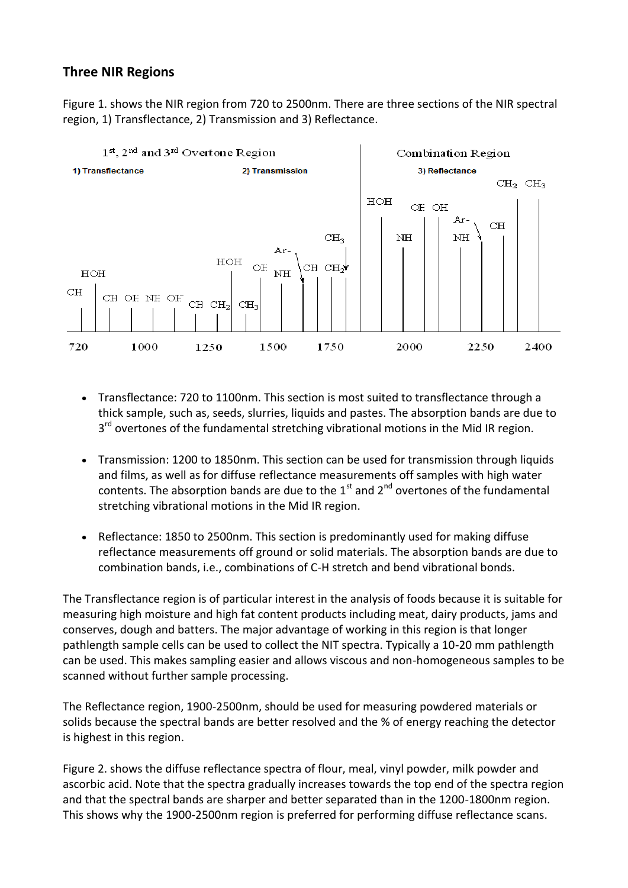## **Three NIR Regions**

Figure 1. shows the NIR region from 720 to 2500nm. There are three sections of the NIR spectral region, 1) Transflectance, 2) Transmission and 3) Reflectance.



- Transflectance: 720 to 1100nm. This section is most suited to transflectance through a thick sample, such as, seeds, slurries, liquids and pastes. The absorption bands are due to 3<sup>rd</sup> overtones of the fundamental stretching vibrational motions in the Mid IR region.
- Transmission: 1200 to 1850nm. This section can be used for transmission through liquids and films, as well as for diffuse reflectance measurements off samples with high water contents. The absorption bands are due to the  $1<sup>st</sup>$  and  $2<sup>nd</sup>$  overtones of the fundamental stretching vibrational motions in the Mid IR region.
- Reflectance: 1850 to 2500nm. This section is predominantly used for making diffuse reflectance measurements off ground or solid materials. The absorption bands are due to combination bands, i.e., combinations of C-H stretch and bend vibrational bonds.

The Transflectance region is of particular interest in the analysis of foods because it is suitable for measuring high moisture and high fat content products including meat, dairy products, jams and conserves, dough and batters. The major advantage of working in this region is that longer pathlength sample cells can be used to collect the NIT spectra. Typically a 10-20 mm pathlength can be used. This makes sampling easier and allows viscous and non-homogeneous samples to be scanned without further sample processing.

The Reflectance region, 1900-2500nm, should be used for measuring powdered materials or solids because the spectral bands are better resolved and the % of energy reaching the detector is highest in this region.

Figure 2. shows the diffuse reflectance spectra of flour, meal, vinyl powder, milk powder and ascorbic acid. Note that the spectra gradually increases towards the top end of the spectra region and that the spectral bands are sharper and better separated than in the 1200-1800nm region. This shows why the 1900-2500nm region is preferred for performing diffuse reflectance scans.